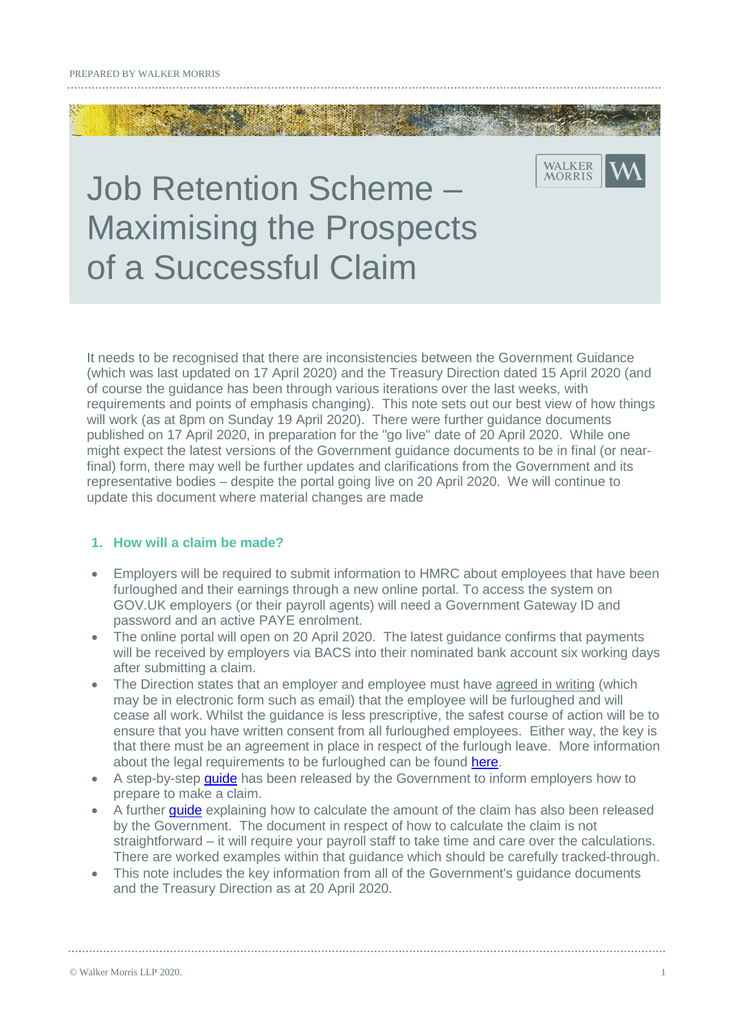# Job Retention Scheme – Maximising the Prospects of a Successful Claim

It needs to be recognised that there are inconsistencies between the Government Guidance (which was last updated on 17 April 2020) and the Treasury Direction dated 15 April 2020 (and of course the guidance has been through various iterations over the last weeks, with requirements and points of emphasis changing). This note sets out our best view of how things will work (as at 8pm on Sunday 19 April 2020). There were further guidance documents published on 17 April 2020, in preparation for the "go live" date of 20 April 2020. While one might expect the latest versions of the Government guidance documents to be in final (or nearfinal) form, there may well be further updates and clarifications from the Government and its representative bodies – despite the portal going live on 20 April 2020. We will continue to update this document where material changes are made

WALKER MORRIS

#### **1. How will a claim be made?**

- Employers will be required to submit information to HMRC about employees that have been furloughed and their earnings through a new online portal. To access the system on GOV.UK employers (or their payroll agents) will need a Government Gateway ID and password and an active PAYE enrolment.
- The online portal will open on 20 April 2020. The latest guidance confirms that payments will be received by employers via BACS into their nominated bank account six working days after submitting a claim.
- The Direction states that an employer and employee must have agreed in writing (which may be in electronic form such as email) that the employee will be furloughed and will cease all work. Whilst the guidance is less prescriptive, the safest course of action will be to ensure that you have written consent from all furloughed employees. Either way, the key is that there must be an agreement in place in respect of the furlough leave. More information about the legal requirements to be furloughed can be found [here.](https://www.walkermorris.co.uk/publications/furloughing-the-legal-requirements/)
- A step-by-step quide has been released by the Government to inform employers how to prepare to make a claim.
- A further *quide* explaining how to calculate the amount of the claim has also been released by the Government. The document in respect of how to calculate the claim is not straightforward – it will require your payroll staff to take time and care over the calculations. There are worked examples within that guidance which should be carefully tracked-through.
- This note includes the key information from all of the Government's guidance documents and the Treasury Direction as at 20 April 2020.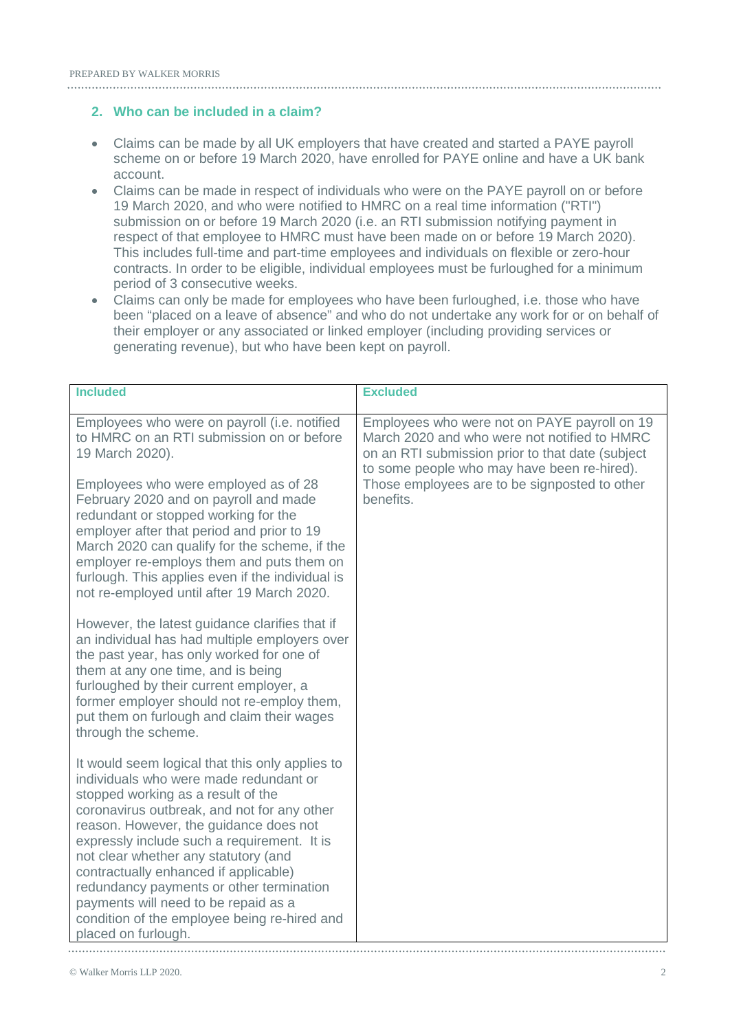#### **2. Who can be included in a claim?**

- Claims can be made by all UK employers that have created and started a PAYE payroll scheme on or before 19 March 2020, have enrolled for PAYE online and have a UK bank account.
- Claims can be made in respect of individuals who were on the PAYE payroll on or before 19 March 2020, and who were notified to HMRC on a real time information ("RTI") submission on or before 19 March 2020 (i.e. an RTI submission notifying payment in respect of that employee to HMRC must have been made on or before 19 March 2020). This includes full-time and part-time employees and individuals on flexible or zero-hour contracts. In order to be eligible, individual employees must be furloughed for a minimum period of 3 consecutive weeks.
- Claims can only be made for employees who have been furloughed, i.e. those who have been "placed on a leave of absence" and who do not undertake any work for or on behalf of their employer or any associated or linked employer (including providing services or generating revenue), but who have been kept on payroll.

| <b>Included</b>                                                                                                                                                                                                                                                                                                                                                                                                                                                                                                     | <b>Excluded</b>                                                                                                                                                                                                                                               |
|---------------------------------------------------------------------------------------------------------------------------------------------------------------------------------------------------------------------------------------------------------------------------------------------------------------------------------------------------------------------------------------------------------------------------------------------------------------------------------------------------------------------|---------------------------------------------------------------------------------------------------------------------------------------------------------------------------------------------------------------------------------------------------------------|
| Employees who were on payroll (i.e. notified<br>to HMRC on an RTI submission on or before<br>19 March 2020).<br>Employees who were employed as of 28<br>February 2020 and on payroll and made<br>redundant or stopped working for the<br>employer after that period and prior to 19                                                                                                                                                                                                                                 | Employees who were not on PAYE payroll on 19<br>March 2020 and who were not notified to HMRC<br>on an RTI submission prior to that date (subject<br>to some people who may have been re-hired).<br>Those employees are to be signposted to other<br>benefits. |
| March 2020 can qualify for the scheme, if the<br>employer re-employs them and puts them on<br>furlough. This applies even if the individual is<br>not re-employed until after 19 March 2020.                                                                                                                                                                                                                                                                                                                        |                                                                                                                                                                                                                                                               |
| However, the latest guidance clarifies that if<br>an individual has had multiple employers over<br>the past year, has only worked for one of<br>them at any one time, and is being<br>furloughed by their current employer, a<br>former employer should not re-employ them,<br>put them on furlough and claim their wages<br>through the scheme.                                                                                                                                                                    |                                                                                                                                                                                                                                                               |
| It would seem logical that this only applies to<br>individuals who were made redundant or<br>stopped working as a result of the<br>coronavirus outbreak, and not for any other<br>reason. However, the guidance does not<br>expressly include such a requirement. It is<br>not clear whether any statutory (and<br>contractually enhanced if applicable)<br>redundancy payments or other termination<br>payments will need to be repaid as a<br>condition of the employee being re-hired and<br>placed on furlough. |                                                                                                                                                                                                                                                               |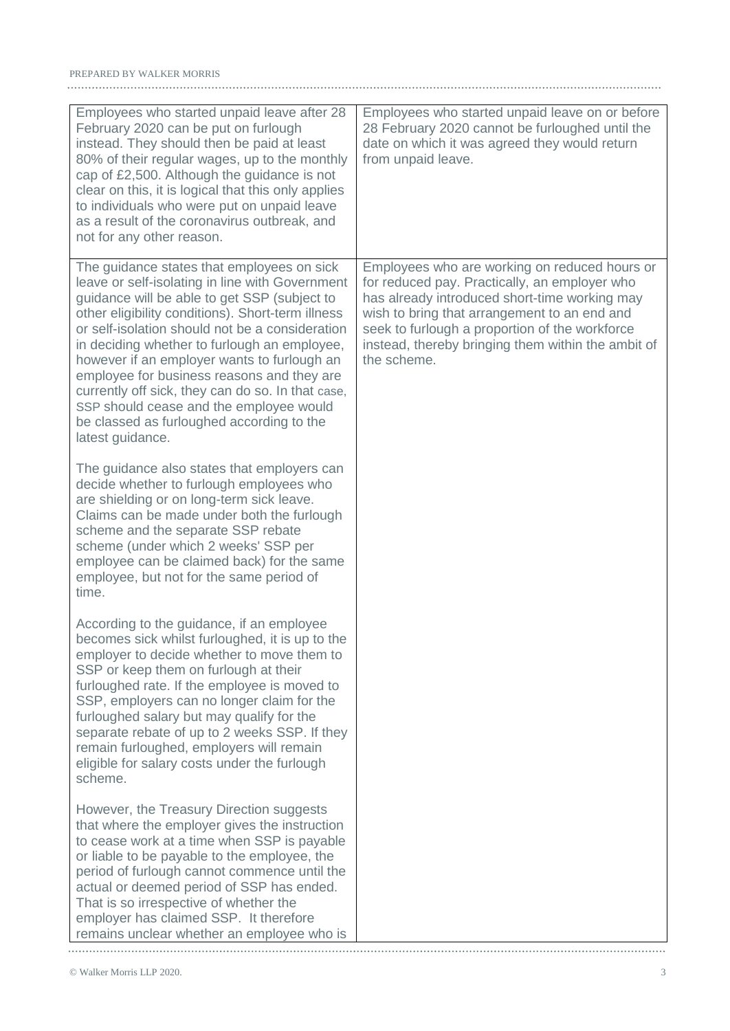| Employees who started unpaid leave after 28<br>February 2020 can be put on furlough<br>instead. They should then be paid at least<br>80% of their regular wages, up to the monthly<br>cap of £2,500. Although the guidance is not<br>clear on this, it is logical that this only applies<br>to individuals who were put on unpaid leave<br>as a result of the coronavirus outbreak, and<br>not for any other reason.                                                                                                                                                | Employees who started unpaid leave on or before<br>28 February 2020 cannot be furloughed until the<br>date on which it was agreed they would return<br>from unpaid leave.                                                                                                                                              |
|---------------------------------------------------------------------------------------------------------------------------------------------------------------------------------------------------------------------------------------------------------------------------------------------------------------------------------------------------------------------------------------------------------------------------------------------------------------------------------------------------------------------------------------------------------------------|------------------------------------------------------------------------------------------------------------------------------------------------------------------------------------------------------------------------------------------------------------------------------------------------------------------------|
| The guidance states that employees on sick<br>leave or self-isolating in line with Government<br>guidance will be able to get SSP (subject to<br>other eligibility conditions). Short-term illness<br>or self-isolation should not be a consideration<br>in deciding whether to furlough an employee,<br>however if an employer wants to furlough an<br>employee for business reasons and they are<br>currently off sick, they can do so. In that case,<br>SSP should cease and the employee would<br>be classed as furloughed according to the<br>latest guidance. | Employees who are working on reduced hours or<br>for reduced pay. Practically, an employer who<br>has already introduced short-time working may<br>wish to bring that arrangement to an end and<br>seek to furlough a proportion of the workforce<br>instead, thereby bringing them within the ambit of<br>the scheme. |
| The guidance also states that employers can<br>decide whether to furlough employees who<br>are shielding or on long-term sick leave.<br>Claims can be made under both the furlough<br>scheme and the separate SSP rebate<br>scheme (under which 2 weeks' SSP per<br>employee can be claimed back) for the same<br>employee, but not for the same period of<br>time.                                                                                                                                                                                                 |                                                                                                                                                                                                                                                                                                                        |
| According to the guidance, if an employee<br>becomes sick whilst furloughed, it is up to the<br>employer to decide whether to move them to<br>SSP or keep them on furlough at their<br>furloughed rate. If the employee is moved to<br>SSP, employers can no longer claim for the<br>furloughed salary but may qualify for the<br>separate rebate of up to 2 weeks SSP. If they<br>remain furloughed, employers will remain<br>eligible for salary costs under the furlough<br>scheme.                                                                              |                                                                                                                                                                                                                                                                                                                        |
| However, the Treasury Direction suggests<br>that where the employer gives the instruction<br>to cease work at a time when SSP is payable<br>or liable to be payable to the employee, the<br>period of furlough cannot commence until the<br>actual or deemed period of SSP has ended.<br>That is so irrespective of whether the<br>employer has claimed SSP. It therefore<br>remains unclear whether an employee who is                                                                                                                                             |                                                                                                                                                                                                                                                                                                                        |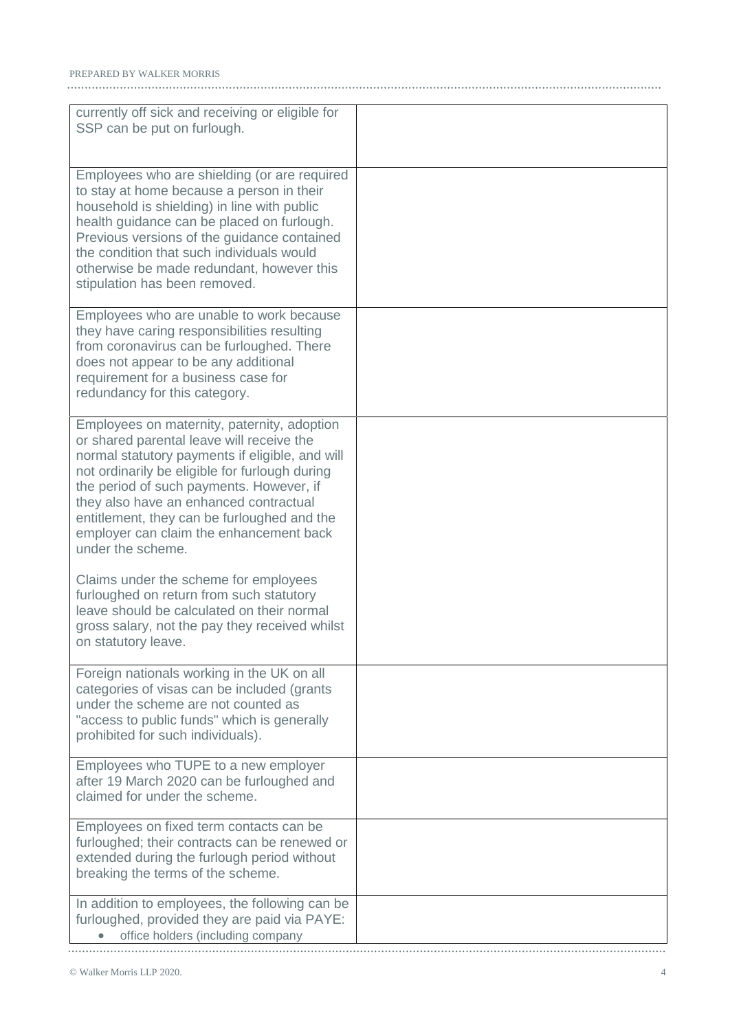| currently off sick and receiving or eligible for<br>SSP can be put on furlough.                                                                                                                                                                                                                                                                                                                    |  |
|----------------------------------------------------------------------------------------------------------------------------------------------------------------------------------------------------------------------------------------------------------------------------------------------------------------------------------------------------------------------------------------------------|--|
| Employees who are shielding (or are required<br>to stay at home because a person in their<br>household is shielding) in line with public<br>health guidance can be placed on furlough.<br>Previous versions of the guidance contained<br>the condition that such individuals would<br>otherwise be made redundant, however this<br>stipulation has been removed.                                   |  |
| Employees who are unable to work because<br>they have caring responsibilities resulting<br>from coronavirus can be furloughed. There<br>does not appear to be any additional<br>requirement for a business case for<br>redundancy for this category.                                                                                                                                               |  |
| Employees on maternity, paternity, adoption<br>or shared parental leave will receive the<br>normal statutory payments if eligible, and will<br>not ordinarily be eligible for furlough during<br>the period of such payments. However, if<br>they also have an enhanced contractual<br>entitlement, they can be furloughed and the<br>employer can claim the enhancement back<br>under the scheme. |  |
| Claims under the scheme for employees<br>furloughed on return from such statutory<br>leave should be calculated on their normal<br>gross salary, not the pay they received whilst<br>on statutory leave.                                                                                                                                                                                           |  |
| Foreign nationals working in the UK on all<br>categories of visas can be included (grants<br>under the scheme are not counted as<br>"access to public funds" which is generally<br>prohibited for such individuals).                                                                                                                                                                               |  |
| Employees who TUPE to a new employer<br>after 19 March 2020 can be furloughed and<br>claimed for under the scheme.                                                                                                                                                                                                                                                                                 |  |
| Employees on fixed term contacts can be<br>furloughed; their contracts can be renewed or<br>extended during the furlough period without<br>breaking the terms of the scheme.                                                                                                                                                                                                                       |  |
| In addition to employees, the following can be<br>furloughed, provided they are paid via PAYE:<br>office holders (including company                                                                                                                                                                                                                                                                |  |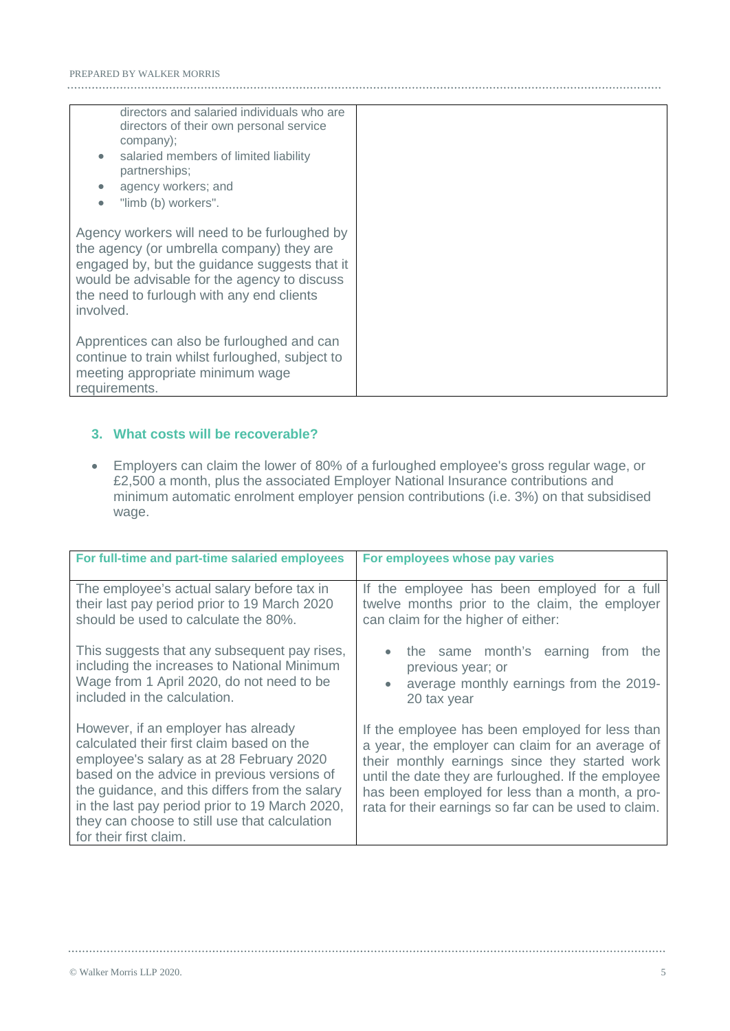| directors and salaried individuals who are<br>directors of their own personal service<br>company);<br>salaried members of limited liability<br>$\bullet$<br>partnerships;<br>agency workers; and<br>$\bullet$<br>"limb (b) workers".<br>$\bullet$    |  |
|------------------------------------------------------------------------------------------------------------------------------------------------------------------------------------------------------------------------------------------------------|--|
| Agency workers will need to be furloughed by<br>the agency (or umbrella company) they are<br>engaged by, but the guidance suggests that it<br>would be advisable for the agency to discuss<br>the need to furlough with any end clients<br>involved. |  |
| Apprentices can also be furloughed and can<br>continue to train whilst furloughed, subject to<br>meeting appropriate minimum wage<br>requirements.                                                                                                   |  |

### **3. What costs will be recoverable?**

 Employers can claim the lower of 80% of a furloughed employee's gross regular wage, or £2,500 a month, plus the associated Employer National Insurance contributions and minimum automatic enrolment employer pension contributions (i.e. 3%) on that subsidised wage.

| For full-time and part-time salaried employees                                                                                                                                                                                                                                                                                                             | For employees whose pay varies                                                                                                                                                                                                                                                                                          |
|------------------------------------------------------------------------------------------------------------------------------------------------------------------------------------------------------------------------------------------------------------------------------------------------------------------------------------------------------------|-------------------------------------------------------------------------------------------------------------------------------------------------------------------------------------------------------------------------------------------------------------------------------------------------------------------------|
| The employee's actual salary before tax in<br>their last pay period prior to 19 March 2020<br>should be used to calculate the 80%.                                                                                                                                                                                                                         | If the employee has been employed for a full<br>twelve months prior to the claim, the employer<br>can claim for the higher of either:                                                                                                                                                                                   |
| This suggests that any subsequent pay rises,<br>including the increases to National Minimum<br>Wage from 1 April 2020, do not need to be<br>included in the calculation.                                                                                                                                                                                   | the same month's earning<br>from<br>the<br>previous year; or<br>average monthly earnings from the 2019-<br>20 tax year                                                                                                                                                                                                  |
| However, if an employer has already<br>calculated their first claim based on the<br>employee's salary as at 28 February 2020<br>based on the advice in previous versions of<br>the guidance, and this differs from the salary<br>in the last pay period prior to 19 March 2020,<br>they can choose to still use that calculation<br>for their first claim. | If the employee has been employed for less than<br>a year, the employer can claim for an average of<br>their monthly earnings since they started work<br>until the date they are furloughed. If the employee<br>has been employed for less than a month, a pro-<br>rata for their earnings so far can be used to claim. |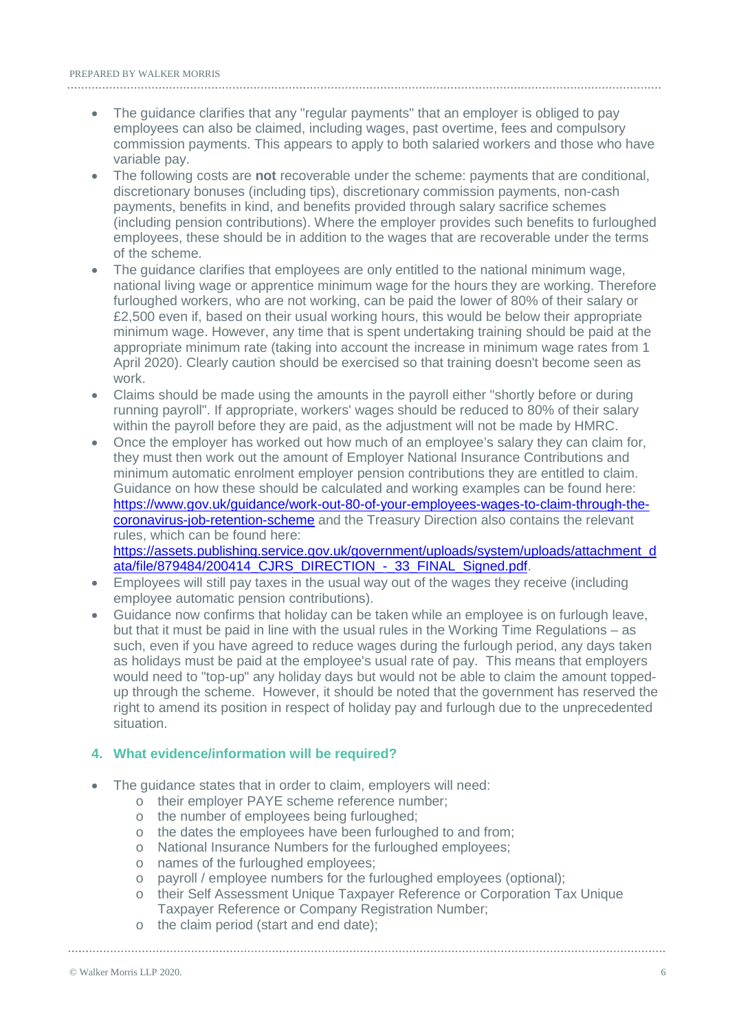- The guidance clarifies that any "regular payments" that an employer is obliged to pay employees can also be claimed, including wages, past overtime, fees and compulsory commission payments. This appears to apply to both salaried workers and those who have variable pay.
- The following costs are **not** recoverable under the scheme: payments that are conditional, discretionary bonuses (including tips), discretionary commission payments, non-cash payments, benefits in kind, and benefits provided through salary sacrifice schemes (including pension contributions). Where the employer provides such benefits to furloughed employees, these should be in addition to the wages that are recoverable under the terms of the scheme.
- The guidance clarifies that employees are only entitled to the national minimum wage, national living wage or apprentice minimum wage for the hours they are working. Therefore furloughed workers, who are not working, can be paid the lower of 80% of their salary or £2,500 even if, based on their usual working hours, this would be below their appropriate minimum wage. However, any time that is spent undertaking training should be paid at the appropriate minimum rate (taking into account the increase in minimum wage rates from 1 April 2020). Clearly caution should be exercised so that training doesn't become seen as work.
- Claims should be made using the amounts in the payroll either "shortly before or during running payroll". If appropriate, workers' wages should be reduced to 80% of their salary within the payroll before they are paid, as the adjustment will not be made by HMRC.
- Once the employer has worked out how much of an employee's salary they can claim for, they must then work out the amount of Employer National Insurance Contributions and minimum automatic enrolment employer pension contributions they are entitled to claim. Guidance on how these should be calculated and working examples can be found here: [https://www.gov.uk/guidance/work-out-80-of-your-employees-wages-to-claim-through-the](https://www.gov.uk/guidance/work-out-80-of-your-employees-wages-to-claim-through-the-coronavirus-job-retention-scheme)[coronavirus-job-retention-scheme](https://www.gov.uk/guidance/work-out-80-of-your-employees-wages-to-claim-through-the-coronavirus-job-retention-scheme) and the Treasury Direction also contains the relevant rules, which can be found here:

[https://assets.publishing.service.gov.uk/government/uploads/system/uploads/attachment\\_d](https://assets.publishing.service.gov.uk/government/uploads/system/uploads/attachment_data/file/879484/200414_CJRS_DIRECTION_-_33_FINAL_Signed.pdf) ata/file/879484/200414\_CJRS\_DIRECTION - 33\_FINAL\_Signed.pdf.

- Employees will still pay taxes in the usual way out of the wages they receive (including employee automatic pension contributions).
- Guidance now confirms that holiday can be taken while an employee is on furlough leave, but that it must be paid in line with the usual rules in the Working Time Regulations – as such, even if you have agreed to reduce wages during the furlough period, any days taken as holidays must be paid at the employee's usual rate of pay. This means that employers would need to "top-up" any holiday days but would not be able to claim the amount toppedup through the scheme. However, it should be noted that the government has reserved the right to amend its position in respect of holiday pay and furlough due to the unprecedented situation.

#### **4. What evidence/information will be required?**

- The guidance states that in order to claim, employers will need:
	- o their employer PAYE scheme reference number;
	- o the number of employees being furloughed;
	- o the dates the employees have been furloughed to and from;
	- o National Insurance Numbers for the furloughed employees;
	- o names of the furloughed employees;
	- o payroll / employee numbers for the furloughed employees (optional);
	- o their Self Assessment Unique Taxpayer Reference or Corporation Tax Unique Taxpayer Reference or Company Registration Number;
	- o the claim period (start and end date);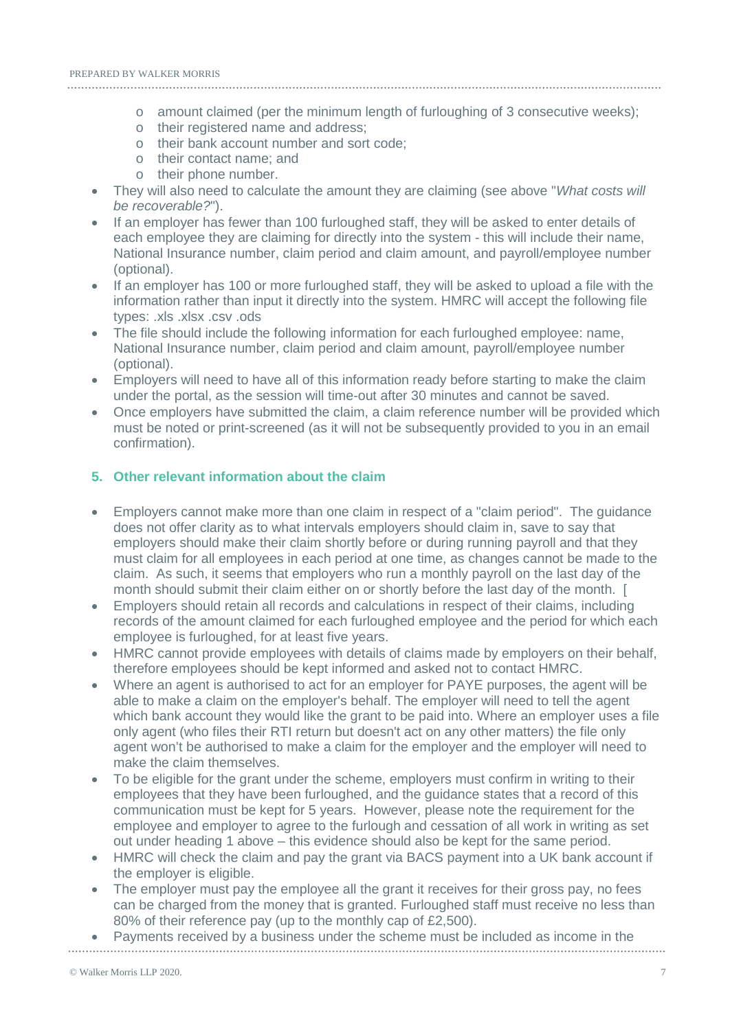- o amount claimed (per the minimum length of furloughing of 3 consecutive weeks);
- o their registered name and address;
- o their bank account number and sort code;
- o their contact name; and
- o their phone number.
- They will also need to calculate the amount they are claiming (see above "*What costs will be recoverable?*").
- If an employer has fewer than 100 furloughed staff, they will be asked to enter details of each employee they are claiming for directly into the system - this will include their name, National Insurance number, claim period and claim amount, and payroll/employee number (optional).
- If an employer has 100 or more furloughed staff, they will be asked to upload a file with the information rather than input it directly into the system. HMRC will accept the following file types: .xls .xlsx .csv .ods
- The file should include the following information for each furloughed employee: name, National Insurance number, claim period and claim amount, payroll/employee number (optional).
- Employers will need to have all of this information ready before starting to make the claim under the portal, as the session will time-out after 30 minutes and cannot be saved.
- Once employers have submitted the claim, a claim reference number will be provided which must be noted or print-screened (as it will not be subsequently provided to you in an email confirmation).

#### **5. Other relevant information about the claim**

- Employers cannot make more than one claim in respect of a "claim period". The guidance does not offer clarity as to what intervals employers should claim in, save to say that employers should make their claim shortly before or during running payroll and that they must claim for all employees in each period at one time, as changes cannot be made to the claim. As such, it seems that employers who run a monthly payroll on the last day of the month should submit their claim either on or shortly before the last day of the month. [
- Employers should retain all records and calculations in respect of their claims, including records of the amount claimed for each furloughed employee and the period for which each employee is furloughed, for at least five years.
- HMRC cannot provide employees with details of claims made by employers on their behalf, therefore employees should be kept informed and asked not to contact HMRC.
- Where an agent is authorised to act for an employer for PAYE purposes, the agent will be able to make a claim on the employer's behalf. The employer will need to tell the agent which bank account they would like the grant to be paid into. Where an employer uses a file only agent (who files their RTI return but doesn't act on any other matters) the file only agent won't be authorised to make a claim for the employer and the employer will need to make the claim themselves.
- To be eligible for the grant under the scheme, employers must confirm in writing to their employees that they have been furloughed, and the guidance states that a record of this communication must be kept for 5 years. However, please note the requirement for the employee and employer to agree to the furlough and cessation of all work in writing as set out under heading 1 above – this evidence should also be kept for the same period.
- HMRC will check the claim and pay the grant via BACS payment into a UK bank account if the employer is eligible.
- The employer must pay the employee all the grant it receives for their gross pay, no fees can be charged from the money that is granted. Furloughed staff must receive no less than 80% of their reference pay (up to the monthly cap of £2,500).
- Payments received by a business under the scheme must be included as income in the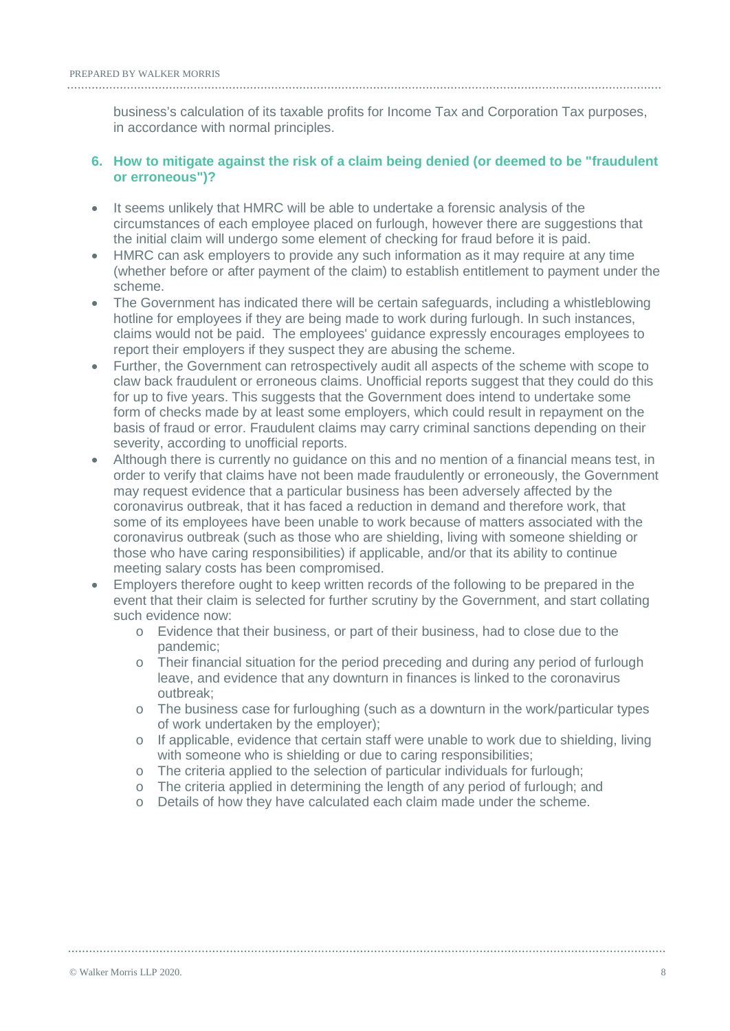business's calculation of its taxable profits for Income Tax and Corporation Tax purposes, in accordance with normal principles.

#### **6. How to mitigate against the risk of a claim being denied (or deemed to be "fraudulent or erroneous")?**

- It seems unlikely that HMRC will be able to undertake a forensic analysis of the circumstances of each employee placed on furlough, however there are suggestions that the initial claim will undergo some element of checking for fraud before it is paid.
- HMRC can ask employers to provide any such information as it may require at any time (whether before or after payment of the claim) to establish entitlement to payment under the scheme.
- The Government has indicated there will be certain safeguards, including a whistleblowing hotline for employees if they are being made to work during furlough. In such instances, claims would not be paid. The employees' guidance expressly encourages employees to report their employers if they suspect they are abusing the scheme.
- Further, the Government can retrospectively audit all aspects of the scheme with scope to claw back fraudulent or erroneous claims. Unofficial reports suggest that they could do this for up to five years. This suggests that the Government does intend to undertake some form of checks made by at least some employers, which could result in repayment on the basis of fraud or error. Fraudulent claims may carry criminal sanctions depending on their severity, according to unofficial reports.
- Although there is currently no guidance on this and no mention of a financial means test, in order to verify that claims have not been made fraudulently or erroneously, the Government may request evidence that a particular business has been adversely affected by the coronavirus outbreak, that it has faced a reduction in demand and therefore work, that some of its employees have been unable to work because of matters associated with the coronavirus outbreak (such as those who are shielding, living with someone shielding or those who have caring responsibilities) if applicable, and/or that its ability to continue meeting salary costs has been compromised.
- Employers therefore ought to keep written records of the following to be prepared in the event that their claim is selected for further scrutiny by the Government, and start collating such evidence now:
	- o Evidence that their business, or part of their business, had to close due to the pandemic;
	- o Their financial situation for the period preceding and during any period of furlough leave, and evidence that any downturn in finances is linked to the coronavirus outbreak;
	- o The business case for furloughing (such as a downturn in the work/particular types of work undertaken by the employer);
	- o If applicable, evidence that certain staff were unable to work due to shielding, living with someone who is shielding or due to caring responsibilities;
	- o The criteria applied to the selection of particular individuals for furlough;
	- o The criteria applied in determining the length of any period of furlough; and
	- o Details of how they have calculated each claim made under the scheme.

#### © Walker Morris LLP 2020. 8